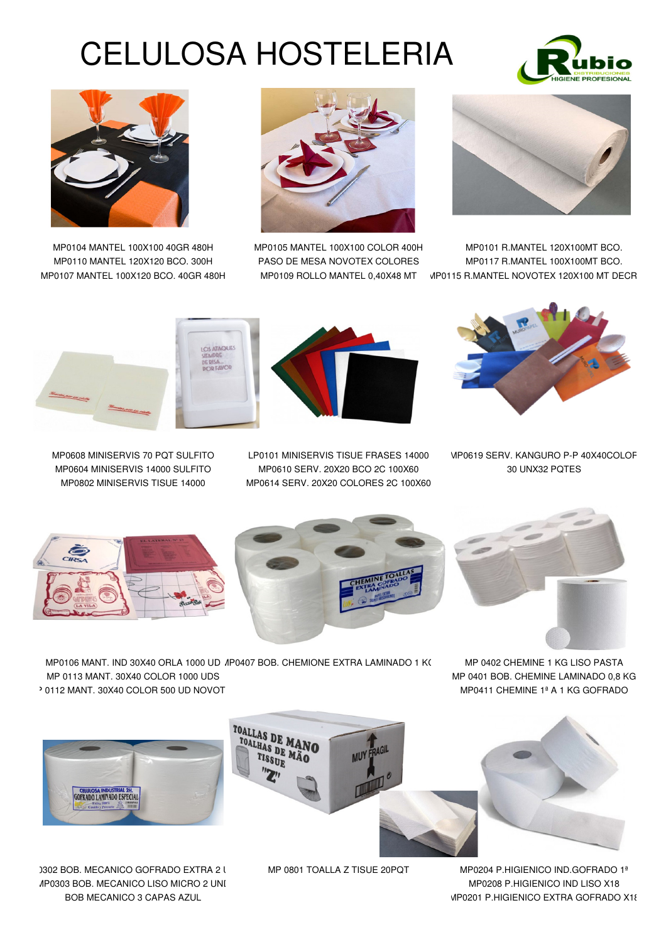## CELULOSA HOSTELERIA









MP0104 MANTEL 100X100 40GR 480H MP0105 MANTEL 100X100 COLOR 400H MP0101 R.MANTEL 120X100MT BCO. MP0110 MANTEL 120X120 BCO. 300H PASO DE MESA NOVOTEX COLORES MP0117 R.MANTEL 100X100MT BCO. MP0107 MANTEL 100X120 BCO. 40GR 480H MP0109 ROLLO MANTEL 0,40X48 MT MP0115 R.MANTEL NOVOTEX 120X100 MT DECR



MP0608 MINISERVIS 70 PQT SULFITO LP0101 MINISERVIS TISUE FRASES 14000 MP0619 SERV. KANGURO P-P 40X40COLOR MP0604 MINISERVIS 14000 SULFITO MP0610 SERV. 20X20 BCO 2C 100X60 30 UNX32 PQTES MP0802 MINISERVIS TISUE 14000 MP0614 SERV. 20X20 COLORES 2C 100X60









MP0106 MANT. IND 30X40 ORLA 1000 UD AP0407 BOB. CHEMIONE EXTRA LAMINADO 1 K( MP 0402 CHEMINE 1 KG LISO PASTA MP 0113 MANT. 30X40 COLOR 1000 UDS MP 0401 BOB. CHEMINE LAMINADO 0,8 KG P 0112 MANT. 30X40 COLOR 500 UD NOVOT SUB-RESOLT THE MPO411 CHEMINE 1ª A 1 KG GOFRADO



1302 BOB. MECANICO GOFRADO EXTRA 2 UND MP 0801 TOALLA Z TISUE 20PQT MP0204 P.HIGIENICO IND.GOFRADO 1ª MP0303 BOB. MECANICO LISO MICRO 2 UNI MP0208 P.HIGIENICO IND LISO X18





BOB MECANICO 3 CAPAS AZUL **MP0201 P.HIGIENICO EXTRA GOFRADO X18**